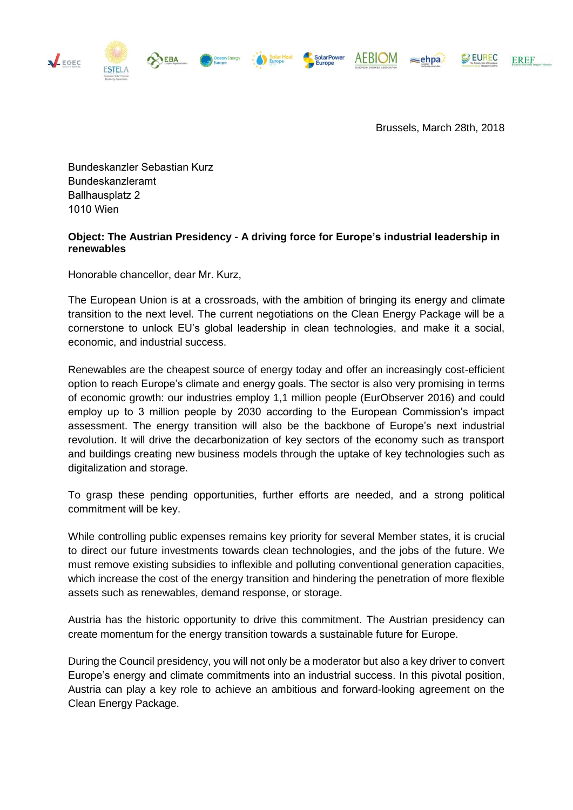AEBIOM <sub></sub>ehpa.



**MEGEC** 

Brussels, March 28th, 2018

Bundeskanzler Sebastian Kurz Bundeskanzleramt Ballhausplatz 2 1010 Wien

## **Object: The Austrian Presidency - A driving force for Europe's industrial leadership in renewables**

**SolarPowe** 

Honorable chancellor, dear Mr. Kurz,

The European Union is at a crossroads, with the ambition of bringing its energy and climate transition to the next level. The current negotiations on the Clean Energy Package will be a cornerstone to unlock EU's global leadership in clean technologies, and make it a social, economic, and industrial success.

Renewables are the cheapest source of energy today and offer an increasingly cost-efficient option to reach Europe's climate and energy goals. The sector is also very promising in terms of economic growth: our industries employ 1,1 million people (EurObserver 2016) and could employ up to 3 million people by 2030 according to the European Commission's impact assessment. The energy transition will also be the backbone of Europe's next industrial revolution. It will drive the decarbonization of key sectors of the economy such as transport and buildings creating new business models through the uptake of key technologies such as digitalization and storage.

To grasp these pending opportunities, further efforts are needed, and a strong political commitment will be key.

While controlling public expenses remains key priority for several Member states, it is crucial to direct our future investments towards clean technologies, and the jobs of the future. We must remove existing subsidies to inflexible and polluting conventional generation capacities, which increase the cost of the energy transition and hindering the penetration of more flexible assets such as renewables, demand response, or storage.

Austria has the historic opportunity to drive this commitment. The Austrian presidency can create momentum for the energy transition towards a sustainable future for Europe.

During the Council presidency, you will not only be a moderator but also a key driver to convert Europe's energy and climate commitments into an industrial success. In this pivotal position, Austria can play a key role to achieve an ambitious and forward-looking agreement on the Clean Energy Package.